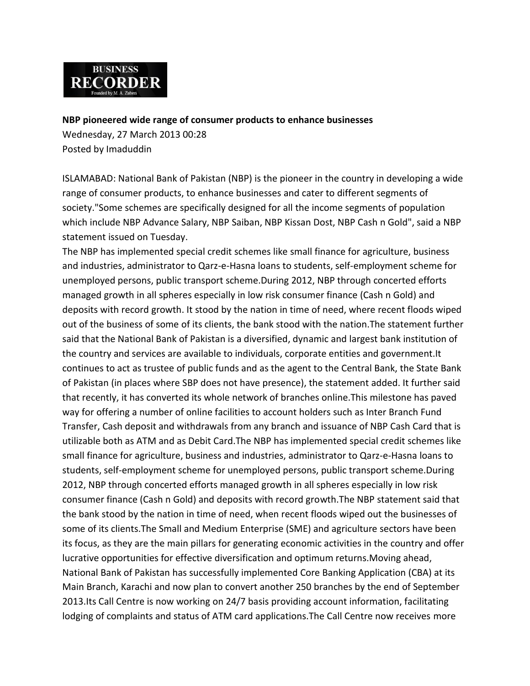

**[NBP pioneered wide range of consumer products to enhance businesses](http://www.brecorder.com/pakistan/banking-a-finance/112513-nbp-pioneered-wide-range-of-consumer-products-to-enhance-businesses.html)** 

Wednesday, 27 March 2013 00:28 Posted by Imaduddin

ISLAMABAD: National Bank of Pakistan (NBP) is the pioneer in the country in developing a wide range of consumer products, to enhance businesses and cater to different segments of society."Some schemes are specifically designed for all the income segments of population which include NBP Advance Salary, NBP Saiban, NBP Kissan Dost, NBP Cash n Gold", said a NBP statement issued on Tuesday.

The NBP has implemented special credit schemes like small finance for agriculture, business and industries, administrator to Qarz-e-Hasna loans to students, self-employment scheme for unemployed persons, public transport scheme.During 2012, NBP through concerted efforts managed growth in all spheres especially in low risk consumer finance (Cash n Gold) and deposits with record growth. It stood by the nation in time of need, where recent floods wiped out of the business of some of its clients, the bank stood with the nation.The statement further said that the National Bank of Pakistan is a diversified, dynamic and largest bank institution of the country and services are available to individuals, corporate entities and government.It continues to act as trustee of public funds and as the agent to the Central Bank, the State Bank of Pakistan (in places where SBP does not have presence), the statement added. It further said that recently, it has converted its whole network of branches online.This milestone has paved way for offering a number of online facilities to account holders such as Inter Branch Fund Transfer, Cash deposit and withdrawals from any branch and issuance of NBP Cash Card that is utilizable both as ATM and as Debit Card.The NBP has implemented special credit schemes like small finance for agriculture, business and industries, administrator to Qarz-e-Hasna loans to students, self-employment scheme for unemployed persons, public transport scheme.During 2012, NBP through concerted efforts managed growth in all spheres especially in low risk consumer finance (Cash n Gold) and deposits with record growth.The NBP statement said that the bank stood by the nation in time of need, when recent floods wiped out the businesses of some of its clients.The Small and Medium Enterprise (SME) and agriculture sectors have been its focus, as they are the main pillars for generating economic activities in the country and offer lucrative opportunities for effective diversification and optimum returns.Moving ahead, National Bank of Pakistan has successfully implemented Core Banking Application (CBA) at its Main Branch, Karachi and now plan to convert another 250 branches by the end of September 2013.Its Call Centre is now working on 24/7 basis providing account information, facilitating lodging of complaints and status of ATM card applications.The Call Centre now receives more